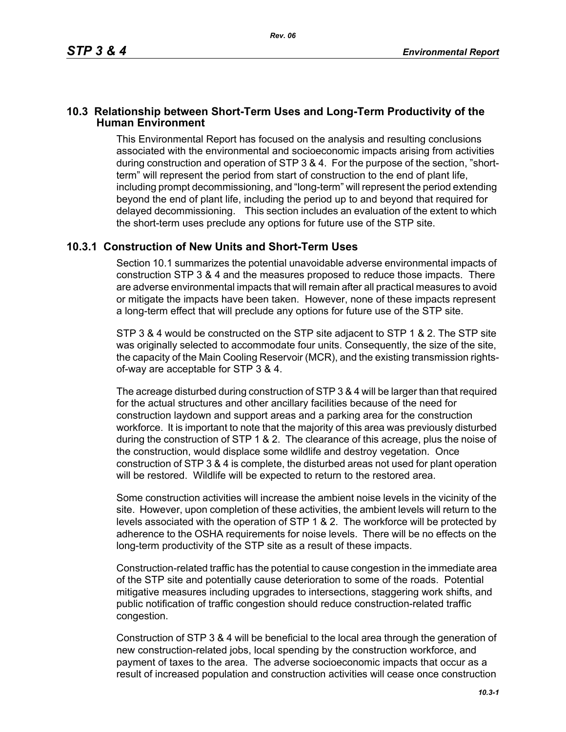## **10.3 Relationship between Short-Term Uses and Long-Term Productivity of the Human Environment**

This Environmental Report has focused on the analysis and resulting conclusions associated with the environmental and socioeconomic impacts arising from activities during construction and operation of STP 3 & 4. For the purpose of the section, "shortterm" will represent the period from start of construction to the end of plant life, including prompt decommissioning, and "long-term" will represent the period extending beyond the end of plant life, including the period up to and beyond that required for delayed decommissioning. This section includes an evaluation of the extent to which the short-term uses preclude any options for future use of the STP site.

## **10.3.1 Construction of New Units and Short-Term Uses**

Section 10.1 summarizes the potential unavoidable adverse environmental impacts of construction STP 3 & 4 and the measures proposed to reduce those impacts. There are adverse environmental impacts that will remain after all practical measures to avoid or mitigate the impacts have been taken. However, none of these impacts represent a long-term effect that will preclude any options for future use of the STP site.

STP 3 & 4 would be constructed on the STP site adjacent to STP 1 & 2. The STP site was originally selected to accommodate four units. Consequently, the size of the site, the capacity of the Main Cooling Reservoir (MCR), and the existing transmission rightsof-way are acceptable for STP 3 & 4.

The acreage disturbed during construction of STP 3 & 4 will be larger than that required for the actual structures and other ancillary facilities because of the need for construction laydown and support areas and a parking area for the construction workforce. It is important to note that the majority of this area was previously disturbed during the construction of STP 1 & 2. The clearance of this acreage, plus the noise of the construction, would displace some wildlife and destroy vegetation. Once construction of STP 3 & 4 is complete, the disturbed areas not used for plant operation will be restored. Wildlife will be expected to return to the restored area.

Some construction activities will increase the ambient noise levels in the vicinity of the site. However, upon completion of these activities, the ambient levels will return to the levels associated with the operation of STP 1 & 2. The workforce will be protected by adherence to the OSHA requirements for noise levels. There will be no effects on the long-term productivity of the STP site as a result of these impacts.

Construction-related traffic has the potential to cause congestion in the immediate area of the STP site and potentially cause deterioration to some of the roads. Potential mitigative measures including upgrades to intersections, staggering work shifts, and public notification of traffic congestion should reduce construction-related traffic congestion.

Construction of STP 3 & 4 will be beneficial to the local area through the generation of new construction-related jobs, local spending by the construction workforce, and payment of taxes to the area. The adverse socioeconomic impacts that occur as a result of increased population and construction activities will cease once construction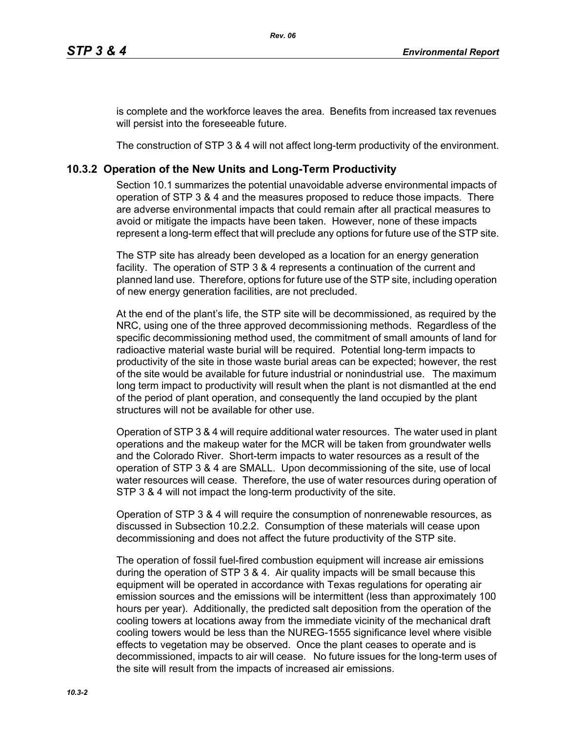is complete and the workforce leaves the area. Benefits from increased tax revenues will persist into the foreseeable future.

The construction of STP 3 & 4 will not affect long-term productivity of the environment.

## **10.3.2 Operation of the New Units and Long-Term Productivity**

Section 10.1 summarizes the potential unavoidable adverse environmental impacts of operation of STP 3 & 4 and the measures proposed to reduce those impacts. There are adverse environmental impacts that could remain after all practical measures to avoid or mitigate the impacts have been taken. However, none of these impacts represent a long-term effect that will preclude any options for future use of the STP site.

The STP site has already been developed as a location for an energy generation facility. The operation of STP 3 & 4 represents a continuation of the current and planned land use. Therefore, options for future use of the STP site, including operation of new energy generation facilities, are not precluded.

At the end of the plant's life, the STP site will be decommissioned, as required by the NRC, using one of the three approved decommissioning methods. Regardless of the specific decommissioning method used, the commitment of small amounts of land for radioactive material waste burial will be required. Potential long-term impacts to productivity of the site in those waste burial areas can be expected; however, the rest of the site would be available for future industrial or nonindustrial use. The maximum long term impact to productivity will result when the plant is not dismantled at the end of the period of plant operation, and consequently the land occupied by the plant structures will not be available for other use.

Operation of STP 3 & 4 will require additional water resources. The water used in plant operations and the makeup water for the MCR will be taken from groundwater wells and the Colorado River. Short-term impacts to water resources as a result of the operation of STP 3 & 4 are SMALL. Upon decommissioning of the site, use of local water resources will cease. Therefore, the use of water resources during operation of STP 3 & 4 will not impact the long-term productivity of the site.

Operation of STP 3 & 4 will require the consumption of nonrenewable resources, as discussed in Subsection 10.2.2. Consumption of these materials will cease upon decommissioning and does not affect the future productivity of the STP site.

The operation of fossil fuel-fired combustion equipment will increase air emissions during the operation of STP 3 & 4. Air quality impacts will be small because this equipment will be operated in accordance with Texas regulations for operating air emission sources and the emissions will be intermittent (less than approximately 100 hours per year). Additionally, the predicted salt deposition from the operation of the cooling towers at locations away from the immediate vicinity of the mechanical draft cooling towers would be less than the NUREG-1555 significance level where visible effects to vegetation may be observed. Once the plant ceases to operate and is decommissioned, impacts to air will cease. No future issues for the long-term uses of the site will result from the impacts of increased air emissions.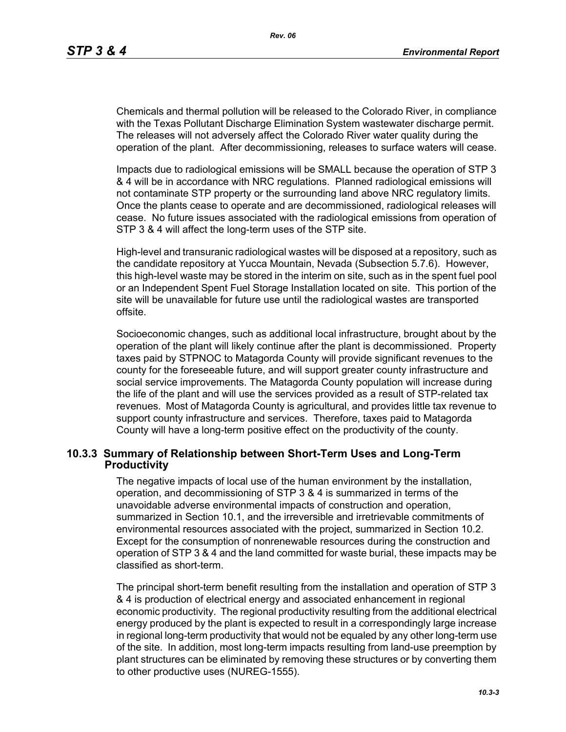Chemicals and thermal pollution will be released to the Colorado River, in compliance with the Texas Pollutant Discharge Elimination System wastewater discharge permit. The releases will not adversely affect the Colorado River water quality during the operation of the plant. After decommissioning, releases to surface waters will cease.

Impacts due to radiological emissions will be SMALL because the operation of STP 3 & 4 will be in accordance with NRC regulations. Planned radiological emissions will not contaminate STP property or the surrounding land above NRC regulatory limits. Once the plants cease to operate and are decommissioned, radiological releases will cease. No future issues associated with the radiological emissions from operation of STP 3 & 4 will affect the long-term uses of the STP site.

High-level and transuranic radiological wastes will be disposed at a repository, such as the candidate repository at Yucca Mountain, Nevada (Subsection 5.7.6). However, this high-level waste may be stored in the interim on site, such as in the spent fuel pool or an Independent Spent Fuel Storage Installation located on site. This portion of the site will be unavailable for future use until the radiological wastes are transported offsite.

Socioeconomic changes, such as additional local infrastructure, brought about by the operation of the plant will likely continue after the plant is decommissioned. Property taxes paid by STPNOC to Matagorda County will provide significant revenues to the county for the foreseeable future, and will support greater county infrastructure and social service improvements. The Matagorda County population will increase during the life of the plant and will use the services provided as a result of STP-related tax revenues. Most of Matagorda County is agricultural, and provides little tax revenue to support county infrastructure and services. Therefore, taxes paid to Matagorda County will have a long-term positive effect on the productivity of the county.

## **10.3.3 Summary of Relationship between Short-Term Uses and Long-Term Productivity**

The negative impacts of local use of the human environment by the installation, operation, and decommissioning of STP 3 & 4 is summarized in terms of the unavoidable adverse environmental impacts of construction and operation, summarized in Section 10.1, and the irreversible and irretrievable commitments of environmental resources associated with the project, summarized in Section 10.2. Except for the consumption of nonrenewable resources during the construction and operation of STP 3 & 4 and the land committed for waste burial, these impacts may be classified as short-term.

The principal short-term benefit resulting from the installation and operation of STP 3 & 4 is production of electrical energy and associated enhancement in regional economic productivity. The regional productivity resulting from the additional electrical energy produced by the plant is expected to result in a correspondingly large increase in regional long-term productivity that would not be equaled by any other long-term use of the site. In addition, most long-term impacts resulting from land-use preemption by plant structures can be eliminated by removing these structures or by converting them to other productive uses (NUREG-1555).